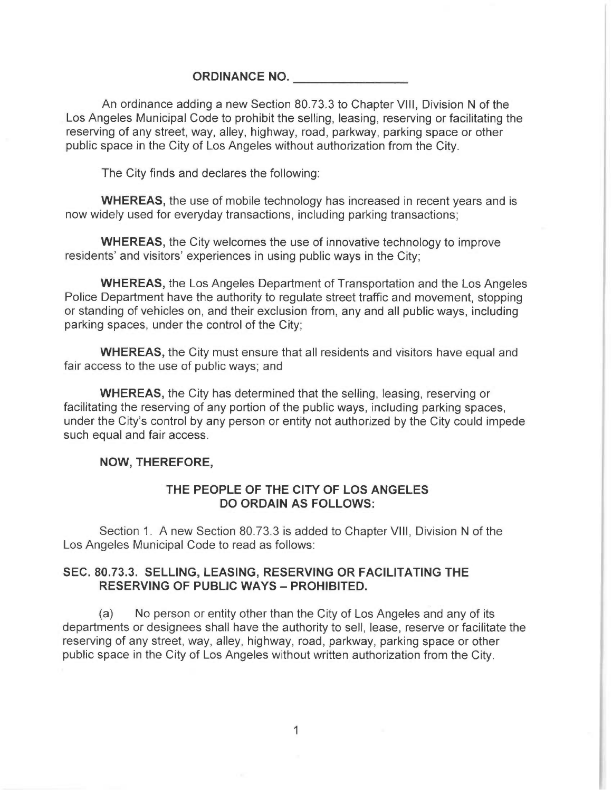## ORDINANCE NO.

An ordinance adding a new Section 80.73.3 to Chapter VIII, Division N of the Los Angeles Municipal Code to prohibit the selling, leasing, reserving or facilitating the reserving of any street, way, alley, highway, road, parkway, parking space or other public space in the City of Los Angeles without authorization from the City.

The City finds and declares the following:

WHEREAS, the use of mobile technology has increased in recent years and is now widely used for everyday transactions, including parking transactions;

WHEREAS, the City welcomes the use of innovative technology to improve residents' and visitors' experiences in using public ways in the City;

WHEREAS, the Los Angeles Department of Transportation and the Los Angeles Police Department have the authority to regulate street traffic and movement, stopping or standing of vehicles on, and their exclusion from, any and all public ways, including parking spaces, under the control of the City;

WHEREAS, the City must ensure that all residents and visitors have equal and fair access to the use of public ways; and

WHEREAS, the City has determined that the selling, leasing, reserving or facilitating the reserving of any portion of the public ways, including parking spaces, under the City's control by any person or entity not authorized by the City could impede such equal and fair access.

## NOW, THEREFORE,

## THE PEOPLE OF THE CITY OF LOS ANGELES DO ORDAIN AS FOLLOWS:

Section 1. A new Section 80.73.3 is added to Chapter VIII, Division N of the Los Angeles Municipal Code to read as follows:

## SEC. 80.73.3. SELLING, LEASING, RESERVING OR FACILITATING THE RESERVING OF PUBLIC WAYS — PROHIBITED.

(a) No person or entity other than the City of Los Angeles and any of its departments or designees shall have the authority to sell, lease, reserve or facilitate the reserving of any street, way, alley, highway, road, parkway, parking space or other public space in the City of Los Angeles without written authorization from the City.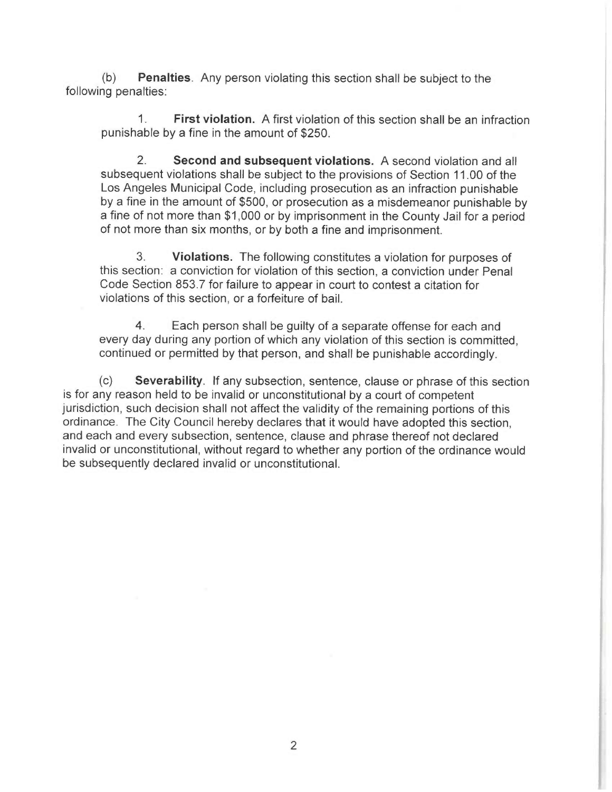(b) Penalties. Any person violating this section shall be subject to the following penalties:

1. First violation. A first violation of this section shall be an infraction punishable by a fine in the amount of \$250.

2. Second and subsequent violations. A second violation and all subsequent violations shall be subject to the provisions of Section 11.00 of the Los Angeles Municipal Code, including prosecution as an infraction punishable by a fine in the amount of \$500, or prosecution as a misdemeanor punishable by a fine of not more than \$1,000 or by imprisonment in the County Jail for a period of not more than six months, or by both a fine and imprisonment.

3. Violations. The following constitutes a violation for purposes of this section: a conviction for violation of this section, a conviction under Penal Code Section 853.7 for failure to appear in court to contest a citation for violations of this section, or a forfeiture of bail.

4. Each person shall be guilty of a separate offense for each and every day during any portion of which any violation of this section is committed, continued or permitted by that person, and shall be punishable accordingly.

(c) Severability. If any subsection, sentence, clause or phrase of this section is for any reason held to be invalid or unconstitutional by a court of competent jurisdiction, such decision shall not affect the validity of the remaining portions of this ordinance. The City Council hereby declares that it would have adopted this section, and each and every subsection, sentence, clause and phrase thereof not declared invalid or unconstitutional, without regard to whether any portion of the ordinance would be subsequently declared invalid or unconstitutional.